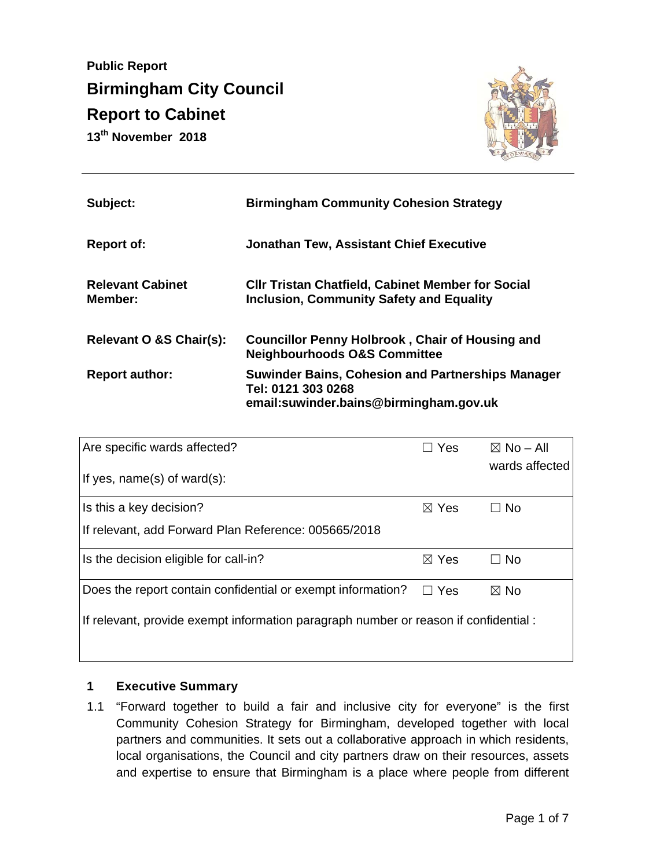**Public Report Birmingham City Council Report to Cabinet 13th November 2018** 



| Subject:                           | <b>Birmingham Community Cohesion Strategy</b>                                                                            |
|------------------------------------|--------------------------------------------------------------------------------------------------------------------------|
| <b>Report of:</b>                  | <b>Jonathan Tew, Assistant Chief Executive</b>                                                                           |
| <b>Relevant Cabinet</b><br>Member: | <b>CIIr Tristan Chatfield, Cabinet Member for Social</b><br><b>Inclusion, Community Safety and Equality</b>              |
| Relevant O &S Chair(s):            | <b>Councillor Penny Holbrook, Chair of Housing and</b><br><b>Neighbourhoods O&amp;S Committee</b>                        |
| <b>Report author:</b>              | <b>Suwinder Bains, Cohesion and Partnerships Manager</b><br>Tel: 0121 303 0268<br>email:suwinder.bains@birmingham.gov.uk |

| Are specific wards affected?                                                         | Yes             | $\boxtimes$ No – All |  |
|--------------------------------------------------------------------------------------|-----------------|----------------------|--|
| If yes, $name(s)$ of ward $(s)$ :                                                    |                 | wards affected       |  |
| Is this a key decision?                                                              | $\boxtimes$ Yes | ⊐ No                 |  |
| If relevant, add Forward Plan Reference: 005665/2018                                 |                 |                      |  |
| Is the decision eligible for call-in?                                                | $\boxtimes$ Yes | $\Box$ No            |  |
| Does the report contain confidential or exempt information?                          | $\Box$ Yes      | $\boxtimes$ No       |  |
| If relevant, provide exempt information paragraph number or reason if confidential : |                 |                      |  |

#### **1 Executive Summary**

1.1 "Forward together to build a fair and inclusive city for everyone" is the first Community Cohesion Strategy for Birmingham, developed together with local partners and communities. It sets out a collaborative approach in which residents, local organisations, the Council and city partners draw on their resources, assets and expertise to ensure that Birmingham is a place where people from different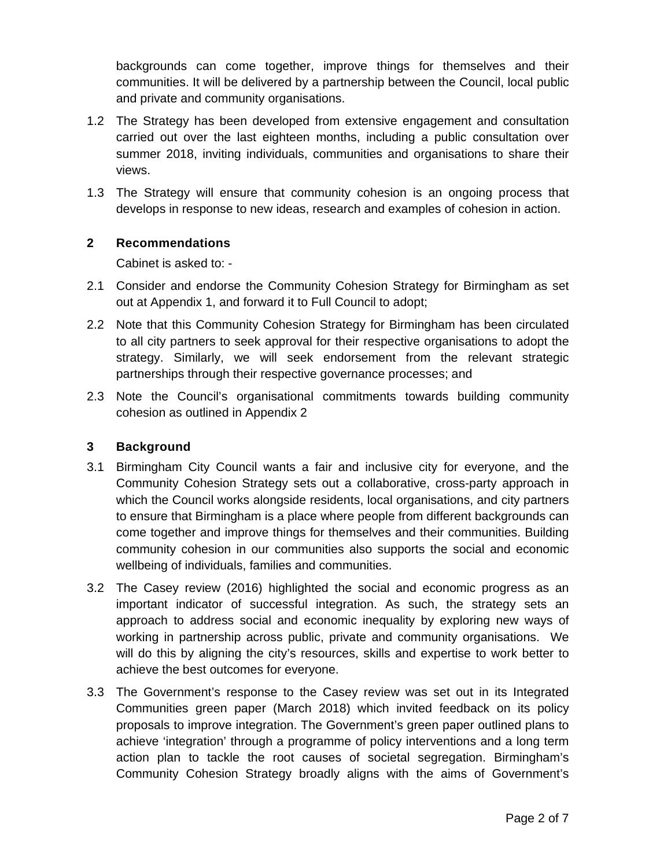backgrounds can come together, improve things for themselves and their communities. It will be delivered by a partnership between the Council, local public and private and community organisations.

- 1.2 The Strategy has been developed from extensive engagement and consultation carried out over the last eighteen months, including a public consultation over summer 2018, inviting individuals, communities and organisations to share their views.
- 1.3 The Strategy will ensure that community cohesion is an ongoing process that develops in response to new ideas, research and examples of cohesion in action.

#### **2 Recommendations**

Cabinet is asked to: -

- 2.1 Consider and endorse the Community Cohesion Strategy for Birmingham as set out at Appendix 1, and forward it to Full Council to adopt;
- 2.2 Note that this Community Cohesion Strategy for Birmingham has been circulated to all city partners to seek approval for their respective organisations to adopt the strategy. Similarly, we will seek endorsement from the relevant strategic partnerships through their respective governance processes; and
- 2.3 Note the Council's organisational commitments towards building community cohesion as outlined in Appendix 2

#### **3 Background**

- 3.1 Birmingham City Council wants a fair and inclusive city for everyone, and the Community Cohesion Strategy sets out a collaborative, cross-party approach in which the Council works alongside residents, local organisations, and city partners to ensure that Birmingham is a place where people from different backgrounds can come together and improve things for themselves and their communities. Building community cohesion in our communities also supports the social and economic wellbeing of individuals, families and communities.
- 3.2 The Casey review (2016) highlighted the social and economic progress as an important indicator of successful integration. As such, the strategy sets an approach to address social and economic inequality by exploring new ways of working in partnership across public, private and community organisations. We will do this by aligning the city's resources, skills and expertise to work better to achieve the best outcomes for everyone.
- 3.3 The Government's response to the Casey review was set out in its Integrated Communities green paper (March 2018) which invited feedback on its policy proposals to improve integration. The Government's green paper outlined plans to achieve 'integration' through a programme of policy interventions and a long term action plan to tackle the root causes of societal segregation. Birmingham's Community Cohesion Strategy broadly aligns with the aims of Government's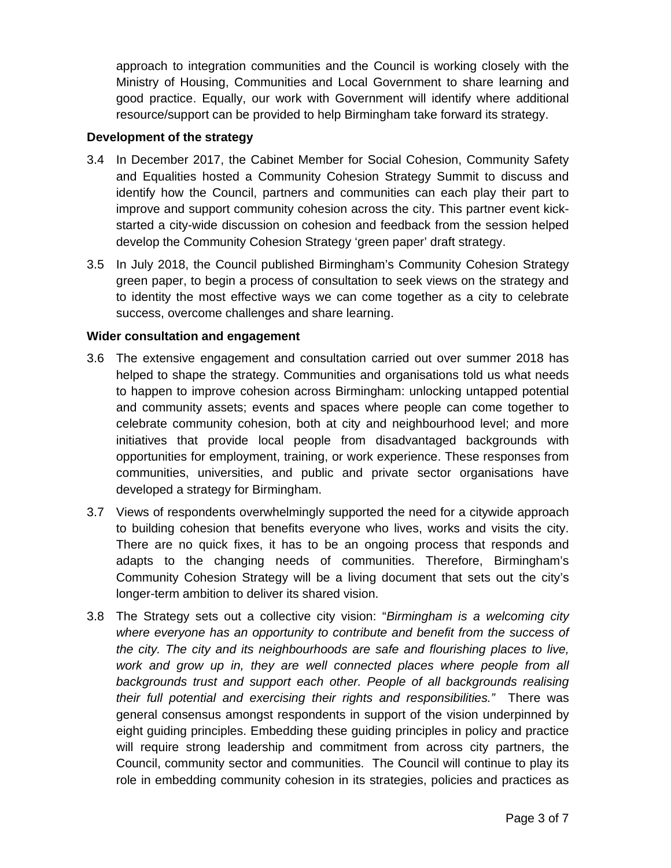approach to integration communities and the Council is working closely with the Ministry of Housing, Communities and Local Government to share learning and good practice. Equally, our work with Government will identify where additional resource/support can be provided to help Birmingham take forward its strategy.

#### **Development of the strategy**

- 3.4 In December 2017, the Cabinet Member for Social Cohesion, Community Safety and Equalities hosted a Community Cohesion Strategy Summit to discuss and identify how the Council, partners and communities can each play their part to improve and support community cohesion across the city. This partner event kickstarted a city-wide discussion on cohesion and feedback from the session helped develop the Community Cohesion Strategy 'green paper' draft strategy.
- 3.5 In July 2018, the Council published Birmingham's Community Cohesion Strategy green paper, to begin a process of consultation to seek views on the strategy and to identity the most effective ways we can come together as a city to celebrate success, overcome challenges and share learning.

#### **Wider consultation and engagement**

- 3.6 The extensive engagement and consultation carried out over summer 2018 has helped to shape the strategy. Communities and organisations told us what needs to happen to improve cohesion across Birmingham: unlocking untapped potential and community assets; events and spaces where people can come together to celebrate community cohesion, both at city and neighbourhood level; and more initiatives that provide local people from disadvantaged backgrounds with opportunities for employment, training, or work experience. These responses from communities, universities, and public and private sector organisations have developed a strategy for Birmingham.
- 3.7 Views of respondents overwhelmingly supported the need for a citywide approach to building cohesion that benefits everyone who lives, works and visits the city. There are no quick fixes, it has to be an ongoing process that responds and adapts to the changing needs of communities. Therefore, Birmingham's Community Cohesion Strategy will be a living document that sets out the city's longer-term ambition to deliver its shared vision.
- 3.8 The Strategy sets out a collective city vision: "*Birmingham is a welcoming city where everyone has an opportunity to contribute and benefit from the success of the city. The city and its neighbourhoods are safe and flourishing places to live,*  work and grow up in, they are well connected places where people from all *backgrounds trust and support each other. People of all backgrounds realising their full potential and exercising their rights and responsibilities."* There was general consensus amongst respondents in support of the vision underpinned by eight guiding principles. Embedding these guiding principles in policy and practice will require strong leadership and commitment from across city partners, the Council, community sector and communities. The Council will continue to play its role in embedding community cohesion in its strategies, policies and practices as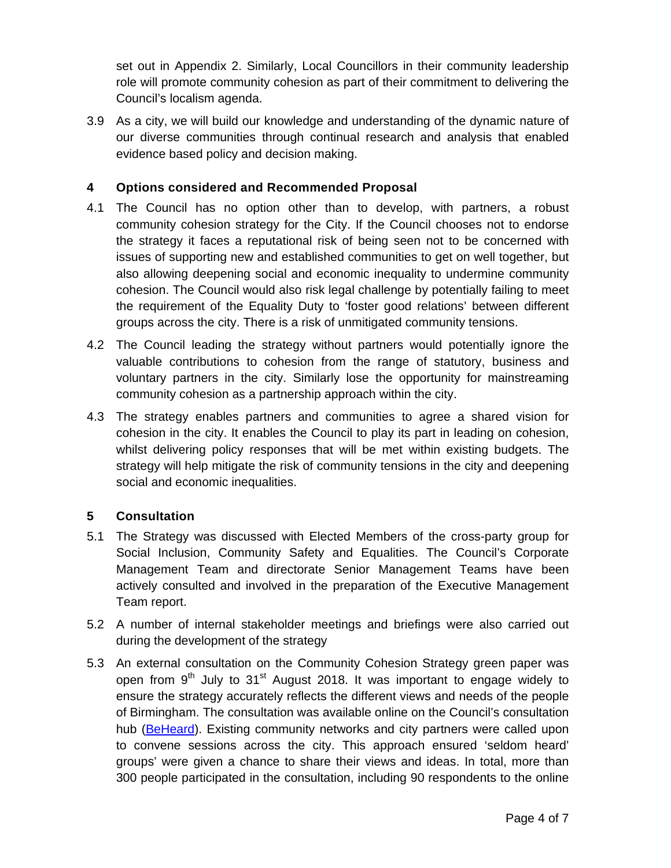set out in Appendix 2. Similarly, Local Councillors in their community leadership role will promote community cohesion as part of their commitment to delivering the Council's localism agenda.

3.9 As a city, we will build our knowledge and understanding of the dynamic nature of our diverse communities through continual research and analysis that enabled evidence based policy and decision making.

# **4 Options considered and Recommended Proposal**

- 4.1 The Council has no option other than to develop, with partners, a robust community cohesion strategy for the City. If the Council chooses not to endorse the strategy it faces a reputational risk of being seen not to be concerned with issues of supporting new and established communities to get on well together, but also allowing deepening social and economic inequality to undermine community cohesion. The Council would also risk legal challenge by potentially failing to meet the requirement of the Equality Duty to 'foster good relations' between different groups across the city. There is a risk of unmitigated community tensions.
- 4.2 The Council leading the strategy without partners would potentially ignore the valuable contributions to cohesion from the range of statutory, business and voluntary partners in the city. Similarly lose the opportunity for mainstreaming community cohesion as a partnership approach within the city.
- 4.3 The strategy enables partners and communities to agree a shared vision for cohesion in the city. It enables the Council to play its part in leading on cohesion, whilst delivering policy responses that will be met within existing budgets. The strategy will help mitigate the risk of community tensions in the city and deepening social and economic inequalities.

### **5 Consultation**

- 5.1 The Strategy was discussed with Elected Members of the cross-party group for Social Inclusion, Community Safety and Equalities. The Council's Corporate Management Team and directorate Senior Management Teams have been actively consulted and involved in the preparation of the Executive Management Team report.
- 5.2 A number of internal stakeholder meetings and briefings were also carried out during the development of the strategy
- 5.3 An external consultation on the Community Cohesion Strategy green paper was open from  $9<sup>th</sup>$  July to  $31<sup>st</sup>$  August 2018. It was important to engage widely to ensure the strategy accurately reflects the different views and needs of the people of Birmingham. The consultation was available online on the Council's consultation hub (BeHeard). Existing community networks and city partners were called upon to convene sessions across the city. This approach ensured 'seldom heard' groups' were given a chance to share their views and ideas. In total, more than 300 people participated in the consultation, including 90 respondents to the online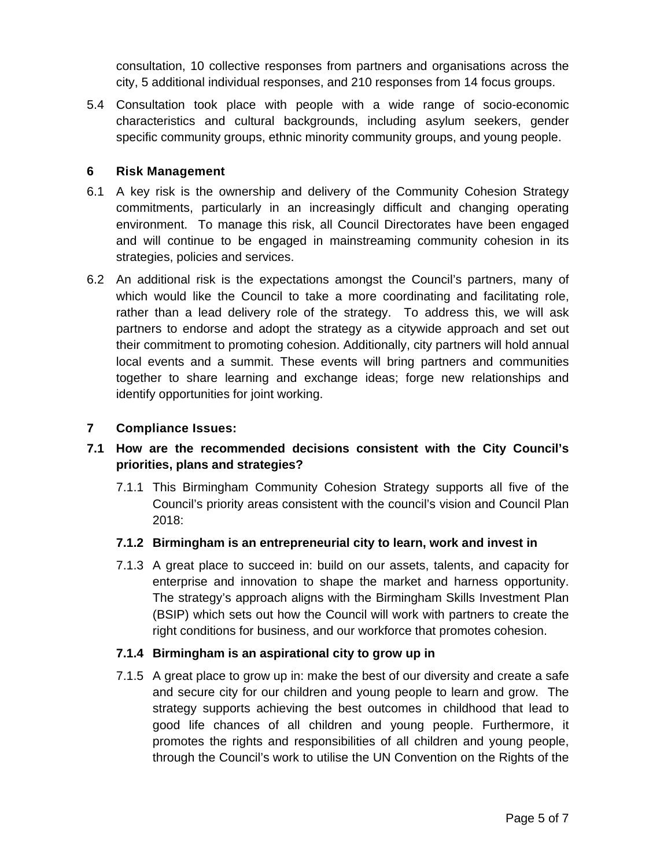consultation, 10 collective responses from partners and organisations across the city, 5 additional individual responses, and 210 responses from 14 focus groups.

5.4 Consultation took place with people with a wide range of socio-economic characteristics and cultural backgrounds, including asylum seekers, gender specific community groups, ethnic minority community groups, and young people.

### **6 Risk Management**

- 6.1 A key risk is the ownership and delivery of the Community Cohesion Strategy commitments, particularly in an increasingly difficult and changing operating environment. To manage this risk, all Council Directorates have been engaged and will continue to be engaged in mainstreaming community cohesion in its strategies, policies and services.
- 6.2 An additional risk is the expectations amongst the Council's partners, many of which would like the Council to take a more coordinating and facilitating role, rather than a lead delivery role of the strategy. To address this, we will ask partners to endorse and adopt the strategy as a citywide approach and set out their commitment to promoting cohesion. Additionally, city partners will hold annual local events and a summit. These events will bring partners and communities together to share learning and exchange ideas; forge new relationships and identify opportunities for joint working.

### **7 Compliance Issues:**

# **7.1 How are the recommended decisions consistent with the City Council's priorities, plans and strategies?**

7.1.1 This Birmingham Community Cohesion Strategy supports all five of the Council's priority areas consistent with the council's vision and Council Plan 2018:

#### **7.1.2 Birmingham is an entrepreneurial city to learn, work and invest in**

7.1.3 A great place to succeed in: build on our assets, talents, and capacity for enterprise and innovation to shape the market and harness opportunity. The strategy's approach aligns with the Birmingham Skills Investment Plan (BSIP) which sets out how the Council will work with partners to create the right conditions for business, and our workforce that promotes cohesion.

#### **7.1.4 Birmingham is an aspirational city to grow up in**

7.1.5 A great place to grow up in: make the best of our diversity and create a safe and secure city for our children and young people to learn and grow. The strategy supports achieving the best outcomes in childhood that lead to good life chances of all children and young people. Furthermore, it promotes the rights and responsibilities of all children and young people, through the Council's work to utilise the UN Convention on the Rights of the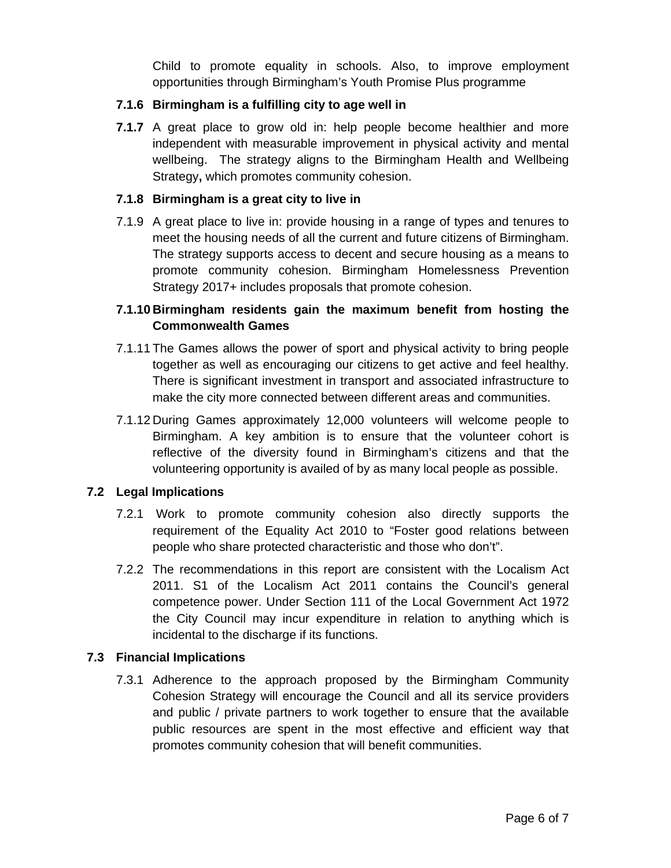Child to promote equality in schools. Also, to improve employment opportunities through Birmingham's Youth Promise Plus programme

### **7.1.6 Birmingham is a fulfilling city to age well in**

**7.1.7** A great place to grow old in: help people become healthier and more independent with measurable improvement in physical activity and mental wellbeing. The strategy aligns to the Birmingham Health and Wellbeing Strategy**,** which promotes community cohesion.

#### **7.1.8 Birmingham is a great city to live in**

7.1.9 A great place to live in: provide housing in a range of types and tenures to meet the housing needs of all the current and future citizens of Birmingham. The strategy supports access to decent and secure housing as a means to promote community cohesion. Birmingham Homelessness Prevention Strategy 2017+ includes proposals that promote cohesion.

## **7.1.10 Birmingham residents gain the maximum benefit from hosting the Commonwealth Games**

- 7.1.11 The Games allows the power of sport and physical activity to bring people together as well as encouraging our citizens to get active and feel healthy. There is significant investment in transport and associated infrastructure to make the city more connected between different areas and communities.
- 7.1.12 During Games approximately 12,000 volunteers will welcome people to Birmingham. A key ambition is to ensure that the volunteer cohort is reflective of the diversity found in Birmingham's citizens and that the volunteering opportunity is availed of by as many local people as possible.

### **7.2 Legal Implications**

- 7.2.1 Work to promote community cohesion also directly supports the requirement of the Equality Act 2010 to "Foster good relations between people who share protected characteristic and those who don't".
- 7.2.2 The recommendations in this report are consistent with the Localism Act 2011. S1 of the Localism Act 2011 contains the Council's general competence power. Under Section 111 of the Local Government Act 1972 the City Council may incur expenditure in relation to anything which is incidental to the discharge if its functions.

### **7.3 Financial Implications**

7.3.1 Adherence to the approach proposed by the Birmingham Community Cohesion Strategy will encourage the Council and all its service providers and public / private partners to work together to ensure that the available public resources are spent in the most effective and efficient way that promotes community cohesion that will benefit communities.